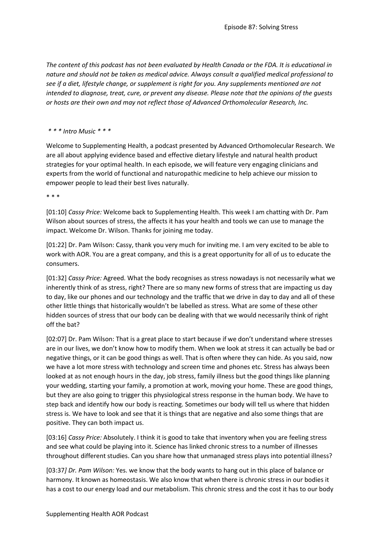*The content of this podcast has not been evaluated by Health Canada or the FDA. It is educational in nature and should not be taken as medical advice. Always consult a qualified medical professional to see if a diet, lifestyle change, or supplement is right for you. Any supplements mentioned are not intended to diagnose, treat, cure, or prevent any disease. Please note that the opinions of the guests or hosts are their own and may not reflect those of Advanced Orthomolecular Research, Inc.*

## *\* \* \* Intro Music \* \* \**

Welcome to Supplementing Health, a podcast presented by Advanced Orthomolecular Research. We are all about applying evidence based and effective dietary lifestyle and natural health product strategies for your optimal health. In each episode, we will feature very engaging clinicians and experts from the world of functional and naturopathic medicine to help achieve our mission to empower people to lead their best lives naturally.

\* \* \*

[01:10] *Cassy Price:* Welcome back to Supplementing Health. This week I am chatting with Dr. Pam Wilson about sources of stress, the affects it has your health and tools we can use to manage the impact. Welcome Dr. Wilson. Thanks for joining me today.

[01:22] Dr. Pam Wilson: Cassy, thank you very much for inviting me. I am very excited to be able to work with AOR. You are a great company, and this is a great opportunity for all of us to educate the consumers.

[01:32] *Cassy Price:* Agreed. What the body recognises as stress nowadays is not necessarily what we inherently think of as stress, right? There are so many new forms of stress that are impacting us day to day, like our phones and our technology and the traffic that we drive in day to day and all of these other little things that historically wouldn't be labelled as stress. What are some of these other hidden sources of stress that our body can be dealing with that we would necessarily think of right off the bat?

[02:07] Dr. Pam Wilson: That is a great place to start because if we don't understand where stresses are in our lives, we don't know how to modify them. When we look at stress it can actually be bad or negative things, or it can be good things as well. That is often where they can hide. As you said, now we have a lot more stress with technology and screen time and phones etc. Stress has always been looked at as not enough hours in the day, job stress, family illness but the good things like planning your wedding, starting your family, a promotion at work, moving your home. These are good things, but they are also going to trigger this physiological stress response in the human body. We have to step back and identify how our body is reacting. Sometimes our body will tell us where that hidden stress is. We have to look and see that it is things that are negative and also some things that are positive. They can both impact us.

[03:16] *Cassy Price:* Absolutely. I think it is good to take that inventory when you are feeling stress and see what could be playing into it. Science has linked chronic stress to a number of illnesses throughout different studies. Can you share how that unmanaged stress plays into potential illness?

[03:37*] Dr. Pam Wilson:* Yes. we know that the body wants to hang out in this place of balance or harmony. It known as homeostasis. We also know that when there is chronic stress in our bodies it has a cost to our energy load and our metabolism. This chronic stress and the cost it has to our body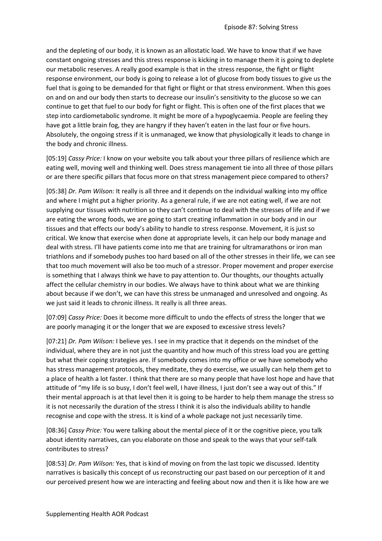and the depleting of our body, it is known as an allostatic load. We have to know that if we have constant ongoing stresses and this stress response is kicking in to manage them it is going to deplete our metabolic reserves. A really good example is that in the stress response, the fight or flight response environment, our body is going to release a lot of glucose from body tissues to give us the fuel that is going to be demanded for that fight or flight or that stress environment. When this goes on and on and our body then starts to decrease our insulin's sensitivity to the glucose so we can continue to get that fuel to our body for fight or flight. This is often one of the first places that we step into cardiometabolic syndrome. It might be more of a hypoglycaemia. People are feeling they have got a little brain fog, they are hangry if they haven't eaten in the last four or five hours. Absolutely, the ongoing stress if it is unmanaged, we know that physiologically it leads to change in the body and chronic illness.

[05:19] *Cassy Price:* I know on your website you talk about your three pillars of resilience which are eating well, moving well and thinking well. Does stress management tie into all three of those pillars or are there specific pillars that focus more on that stress management piece compared to others?

[05:38] *Dr. Pam Wilson:* It really is all three and it depends on the individual walking into my office and where I might put a higher priority. As a general rule, if we are not eating well, if we are not supplying our tissues with nutrition so they can't continue to deal with the stresses of life and if we are eating the wrong foods, we are going to start creating inflammation in our body and in our tissues and that effects our body's ability to handle to stress response. Movement, it is just so critical. We know that exercise when done at appropriate levels, it can help our body manage and deal with stress. I'll have patients come into me that are training for ultramarathons or iron man triathlons and if somebody pushes too hard based on all of the other stresses in their life, we can see that too much movement will also be too much of a stressor. Proper movement and proper exercise is something that I always think we have to pay attention to. Our thoughts, our thoughts actually affect the cellular chemistry in our bodies. We always have to think about what we are thinking about because if we don't, we can have this stress be unmanaged and unresolved and ongoing. As we just said it leads to chronic illness. It really is all three areas.

[07:09] *Cassy Price:* Does it become more difficult to undo the effects of stress the longer that we are poorly managing it or the longer that we are exposed to excessive stress levels?

[07:21] *Dr. Pam Wilson:* I believe yes. I see in my practice that it depends on the mindset of the individual, where they are in not just the quantity and how much of this stress load you are getting but what their coping strategies are. If somebody comes into my office or we have somebody who has stress management protocols, they meditate, they do exercise, we usually can help them get to a place of health a lot faster. I think that there are so many people that have lost hope and have that attitude of "my life is so busy, I don't feel well, I have illness, I just don't see a way out of this." If their mental approach is at that level then it is going to be harder to help them manage the stress so it is not necessarily the duration of the stress I think it is also the individuals ability to handle recognise and cope with the stress. It is kind of a whole package not just necessarily time.

[08:36] *Cassy Price:* You were talking about the mental piece of it or the cognitive piece, you talk about identity narratives, can you elaborate on those and speak to the ways that your self-talk contributes to stress?

[08:53] *Dr. Pam Wilson:* Yes, that is kind of moving on from the last topic we discussed. Identity narratives is basically this concept of us reconstructing our past based on our perception of it and our perceived present how we are interacting and feeling about now and then it is like how are we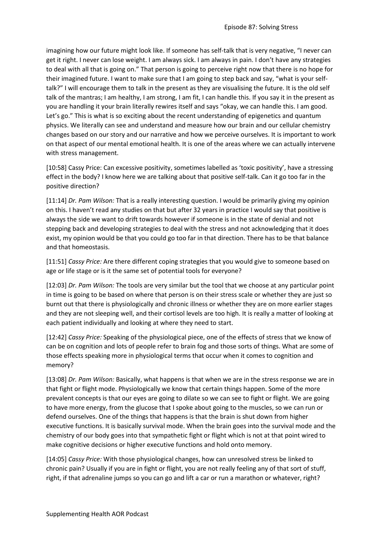imagining how our future might look like. If someone has self-talk that is very negative, "I never can get it right. I never can lose weight. I am always sick. I am always in pain. I don't have any strategies to deal with all that is going on." That person is going to perceive right now that there is no hope for their imagined future. I want to make sure that I am going to step back and say, "what is your selftalk?" I will encourage them to talk in the present as they are visualising the future. It is the old self talk of the mantras; I am healthy, I am strong, I am fit, I can handle this. If you say it in the present as you are handling it your brain literally rewires itself and says "okay, we can handle this. I am good. Let's go." This is what is so exciting about the recent understanding of epigenetics and quantum physics. We literally can see and understand and measure how our brain and our cellular chemistry changes based on our story and our narrative and how we perceive ourselves. It is important to work on that aspect of our mental emotional health. It is one of the areas where we can actually intervene with stress management.

[10:58] Cassy Price: Can excessive positivity, sometimes labelled as 'toxic positivity', have a stressing effect in the body? I know here we are talking about that positive self-talk. Can it go too far in the positive direction?

[11:14] *Dr. Pam Wilson:* That is a really interesting question. I would be primarily giving my opinion on this. I haven't read any studies on that but after 32 years in practice I would say that positive is always the side we want to drift towards however if someone is in the state of denial and not stepping back and developing strategies to deal with the stress and not acknowledging that it does exist, my opinion would be that you could go too far in that direction. There has to be that balance and that homeostasis.

[11:51] *Cassy Price:* Are there different coping strategies that you would give to someone based on age or life stage or is it the same set of potential tools for everyone?

[12:03] *Dr. Pam Wilson:* The tools are very similar but the tool that we choose at any particular point in time is going to be based on where that person is on their stress scale or whether they are just so burnt out that there is physiologically and chronic illness or whether they are on more earlier stages and they are not sleeping well, and their cortisol levels are too high. It is really a matter of looking at each patient individually and looking at where they need to start.

[12:42] *Cassy Price:* Speaking of the physiological piece, one of the effects of stress that we know of can be on cognition and lots of people refer to brain fog and those sorts of things. What are some of those effects speaking more in physiological terms that occur when it comes to cognition and memory?

[13:08] *Dr. Pam Wilson:* Basically, what happens is that when we are in the stress response we are in that fight or flight mode. Physiologically we know that certain things happen. Some of the more prevalent concepts is that our eyes are going to dilate so we can see to fight or flight. We are going to have more energy, from the glucose that I spoke about going to the muscles, so we can run or defend ourselves. One of the things that happens is that the brain is shut down from higher executive functions. It is basically survival mode. When the brain goes into the survival mode and the chemistry of our body goes into that sympathetic fight or flight which is not at that point wired to make cognitive decisions or higher executive functions and hold onto memory.

[14:05] *Cassy Price:* With those physiological changes, how can unresolved stress be linked to chronic pain? Usually if you are in fight or flight, you are not really feeling any of that sort of stuff, right, if that adrenaline jumps so you can go and lift a car or run a marathon or whatever, right?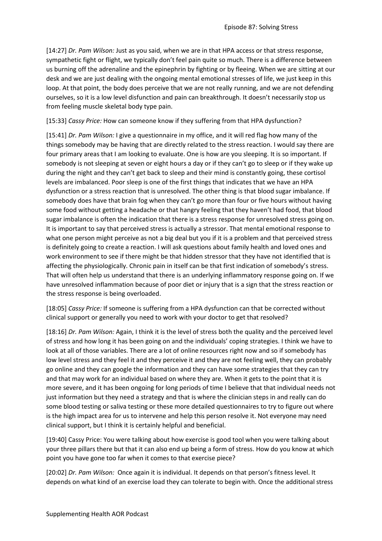[14:27] *Dr. Pam Wilson:* Just as you said, when we are in that HPA access or that stress response, sympathetic fight or flight, we typically don't feel pain quite so much. There is a difference between us burning off the adrenaline and the epinephrin by fighting or by fleeing. When we are sitting at our desk and we are just dealing with the ongoing mental emotional stresses of life, we just keep in this loop. At that point, the body does perceive that we are not really running, and we are not defending ourselves, so it is a low level disfunction and pain can breakthrough. It doesn't necessarily stop us from feeling muscle skeletal body type pain.

[15:33] *Cassy Price:* How can someone know if they suffering from that HPA dysfunction?

[15:41] *Dr. Pam Wilson:* I give a questionnaire in my office, and it will red flag how many of the things somebody may be having that are directly related to the stress reaction. I would say there are four primary areas that I am looking to evaluate. One is how are you sleeping. It is so important. If somebody is not sleeping at seven or eight hours a day or if they can't go to sleep or if they wake up during the night and they can't get back to sleep and their mind is constantly going, these cortisol levels are imbalanced. Poor sleep is one of the first things that indicates that we have an HPA dysfunction or a stress reaction that is unresolved. The other thing is that blood sugar imbalance. If somebody does have that brain fog when they can't go more than four or five hours without having some food without getting a headache or that hangry feeling that they haven't had food, that blood sugar imbalance is often the indication that there is a stress response for unresolved stress going on. It is important to say that perceived stress is actually a stressor. That mental emotional response to what one person might perceive as not a big deal but you if it is a problem and that perceived stress is definitely going to create a reaction. I will ask questions about family health and loved ones and work environment to see if there might be that hidden stressor that they have not identified that is affecting the physiologically. Chronic pain in itself can be that first indication of somebody's stress. That will often help us understand that there is an underlying inflammatory response going on. If we have unresolved inflammation because of poor diet or injury that is a sign that the stress reaction or the stress response is being overloaded.

[18:05] *Cassy Price:* If someone is suffering from a HPA dysfunction can that be corrected without clinical support or generally you need to work with your doctor to get that resolved?

[18:16] *Dr. Pam Wilson:* Again, I think it is the level of stress both the quality and the perceived level of stress and how long it has been going on and the individuals' coping strategies. I think we have to look at all of those variables. There are a lot of online resources right now and so if somebody has low level stress and they feel it and they perceive it and they are not feeling well, they can probably go online and they can google the information and they can have some strategies that they can try and that may work for an individual based on where they are. When it gets to the point that it is more severe, and it has been ongoing for long periods of time I believe that that individual needs not just information but they need a strategy and that is where the clinician steps in and really can do some blood testing or saliva testing or these more detailed questionnaires to try to figure out where is the high impact area for us to intervene and help this person resolve it. Not everyone may need clinical support, but I think it is certainly helpful and beneficial.

[19:40] Cassy Price: You were talking about how exercise is good tool when you were talking about your three pillars there but that it can also end up being a form of stress. How do you know at which point you have gone too far when it comes to that exercise piece?

[20:02] *Dr. Pam Wilson:* Once again it is individual. It depends on that person's fitness level. It depends on what kind of an exercise load they can tolerate to begin with. Once the additional stress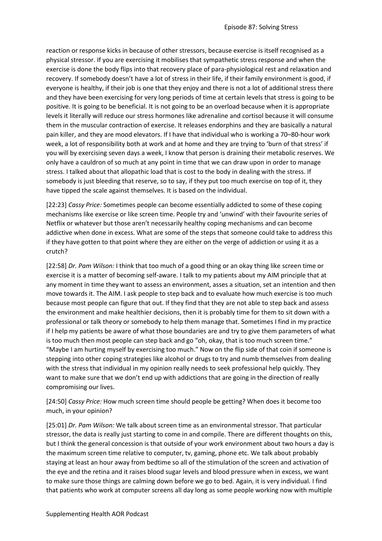reaction or response kicks in because of other stressors, because exercise is itself recognised as a physical stressor. If you are exercising it mobilises that sympathetic stress response and when the exercise is done the body flips into that recovery place of para-physiological rest and relaxation and recovery. If somebody doesn't have a lot of stress in their life, if their family environment is good, if everyone is healthy, if their job is one that they enjoy and there is not a lot of additional stress there and they have been exercising for very long periods of time at certain levels that stress is going to be positive. It is going to be beneficial. It is not going to be an overload because when it is appropriate levels it literally will reduce our stress hormones like adrenaline and cortisol because it will consume them in the muscular contraction of exercise. It releases endorphins and they are basically a natural pain killer, and they are mood elevators. If I have that individual who is working a 70–80-hour work week, a lot of responsibility both at work and at home and they are trying to 'burn of that stress' if you will by exercising seven days a week, I know that person is draining their metabolic reserves. We only have a cauldron of so much at any point in time that we can draw upon in order to manage stress. I talked about that allopathic load that is cost to the body in dealing with the stress. If somebody is just bleeding that reserve, so to say, if they put too much exercise on top of it, they have tipped the scale against themselves. It is based on the individual.

[22:23] *Cassy Price:* Sometimes people can become essentially addicted to some of these coping mechanisms like exercise or like screen time. People try and 'unwind' with their favourite series of Netflix or whatever but those aren't necessarily healthy coping mechanisms and can become addictive when done in excess. What are some of the steps that someone could take to address this if they have gotten to that point where they are either on the verge of addiction or using it as a crutch?

[22:58] *Dr. Pam Wilson:* I think that too much of a good thing or an okay thing like screen time or exercise it is a matter of becoming self-aware. I talk to my patients about my AIM principle that at any moment in time they want to assess an environment, asses a situation, set an intention and then move towards it. The AIM. I ask people to step back and to evaluate how much exercise is too much because most people can figure that out. If they find that they are not able to step back and assess the environment and make healthier decisions, then it is probably time for them to sit down with a professional or talk theory or somebody to help them manage that. Sometimes I find in my practice if I help my patients be aware of what those boundaries are and try to give them parameters of what is too much then most people can step back and go "oh, okay, that is too much screen time." "Maybe I am hurting myself by exercising too much." Now on the flip side of that coin if someone is stepping into other coping strategies like alcohol or drugs to try and numb themselves from dealing with the stress that individual in my opinion really needs to seek professional help quickly. They want to make sure that we don't end up with addictions that are going in the direction of really compromising our lives.

[24:50] *Cassy Price:* How much screen time should people be getting? When does it become too much, in your opinion?

[25:01] *Dr. Pam Wilson:* We talk about screen time as an environmental stressor. That particular stressor, the data is really just starting to come in and compile. There are different thoughts on this, but I think the general concession is that outside of your work environment about two hours a day is the maximum screen time relative to computer, tv, gaming, phone etc. We talk about probably staying at least an hour away from bedtime so all of the stimulation of the screen and activation of the eye and the retina and it raises blood sugar levels and blood pressure when in excess, we want to make sure those things are calming down before we go to bed. Again, it is very individual. I find that patients who work at computer screens all day long as some people working now with multiple